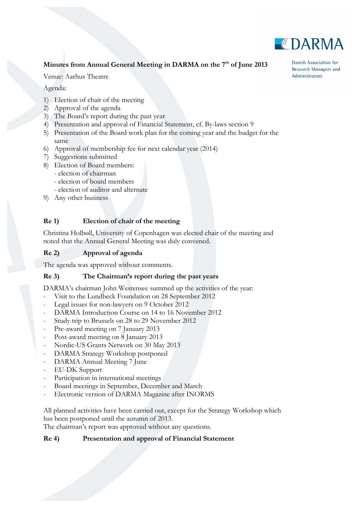

# **Minutes from Annual General Meeting in DARMA on the 7th of June 2013**

Venue: Aarhus Theatre

Agenda:

- 1) Election of chair of the meeting
- 2) Approval of the agenda
- 3) The Board's report during the past year
- 4) Presentation and approval of Financial Statement, cf. By-laws section 9
- 5) Presentation of the Board work plan for the coming year and the budget for the same
- 6) Approval of membership fee for next calendar year (2014)
- 7) Suggestions submitted
- 8) Election of Board members:
	- election of chairman
	- election of board members
	- election of auditor and alternate
- 9) Any other business

### **Re 1) Election of chair of the meeting**

Christina Holbøll, University of Copenhagen was elected chair of the meeting and noted that the Annual General Meeting was duly convened.

## **Re 2) Approval of agenda**

The agenda was approved without comments.

### **Re 3) The Chairman's report during the past years**

DARMA's chairman John Westensee summed up the activities of the year:

- Visit to the Lundbeck Foundation on 28 September 2012
- Legal issues for non-lawyers on 9 October 2012
- DARMA Introduction Course on 14 to 16 November 2012
- Study trip to Brussels on 28 to 29 November 2012
- Pre-award meeting on 7 January 2013
- Post-award meeting on 8 January 2013
- Nordic-US Grants Network on 30 May 2013
- DARMA Strategy Workshop postponed
- DARMA Annual Meeting 7 June
- EU-DK Support
- Participation in international meetings
- Board meetings in September, December and March
- Electronic version of DARMA Magazine after INORMS

All planned activities have been carried out, except for the Strategy Workshop which has been postponed until the autumn of 2013.

The chairman's report was approved without any questions.

## **Re 4) Presentation and approval of Financial Statement**

Danish Association for Research Managers and Administrators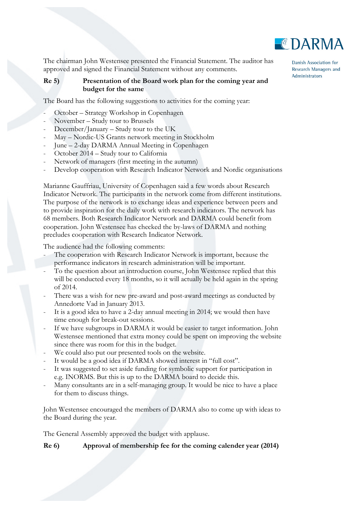

**Danish Association for Research Managers and** Administrators

The chairman John Westensee presented the Financial Statement. The auditor has approved and signed the Financial Statement without any comments.

### **Re 5) Presentation of the Board work plan for the coming year and budget for the same**

The Board has the following suggestions to activities for the coming year:

- October Strategy Workshop in Copenhagen
- November Study tour to Brussels
- December/January Study tour to the UK
- May Nordic-US Grants network meeting in Stockholm
- June 2-day DARMA Annual Meeting in Copenhagen
- October 2014 Study tour to California
- Network of managers (first meeting in the autumn)
- Develop cooperation with Research Indicator Network and Nordic organisations

Marianne Gauffriau, University of Copenhagen said a few words about Research Indicator Network. The participants in the network come from different institutions. The purpose of the network is to exchange ideas and experience between peers and to provide inspiration for the daily work with research indicators. The network has 68 members. Both Research Indicator Network and DARMA could benefit from cooperation. John Westensee has checked the by-laws of DARMA and nothing precludes cooperation with Research Indicator Network.

The audience had the following comments:

- The cooperation with Research Indicator Network is important, because the performance indicators in research administration will be important.
- To the question about an introduction course, John Westensee replied that this will be conducted every 18 months, so it will actually be held again in the spring of 2014.
- There was a wish for new pre-award and post-award meetings as conducted by Annedorte Vad in January 2013.
- It is a good idea to have a 2-day annual meeting in 2014; we would then have time enough for break-out sessions.
- If we have subgroups in DARMA it would be easier to target information. John Westensee mentioned that extra money could be spent on improving the website since there was room for this in the budget.
- We could also put our presented tools on the website.
- It would be a good idea if DARMA showed interest in "full cost".
- It was suggested to set aside funding for symbolic support for participation in e.g. INORMS. But this is up to the DARMA board to decide this.
- Many consultants are in a self-managing group. It would be nice to have a place for them to discuss things.

John Westensee encouraged the members of DARMA also to come up with ideas to the Board during the year.

The General Assembly approved the budget with applause.

**Re 6) Approval of membership fee for the coming calender year (2014)**